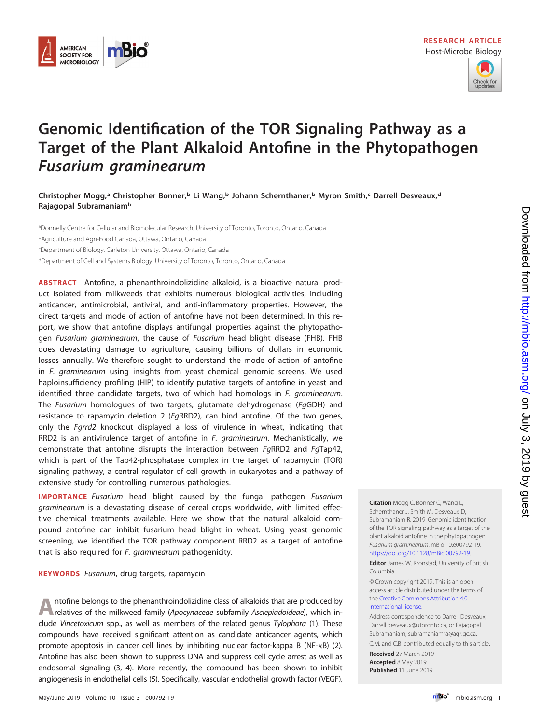



# **Genomic Identification of the TOR Signaling Pathway as a Target of the Plant Alkaloid Antofine in the Phytopathogen Fusarium graminearum**

**Christopher Mogg,a Christopher Bonner,b Li Wang,b Johann Schernthaner,b Myron Smith,c Darrell Desveaux,d Rajagopal Subramaniamb**

aDonnelly Centre for Cellular and Biomolecular Research, University of Toronto, Toronto, Ontario, Canada <sup>b</sup>Agriculture and Agri-Food Canada, Ottawa, Ontario, Canada c Department of Biology, Carleton University, Ottawa, Ontario, Canada <sup>d</sup>Department of Cell and Systems Biology, University of Toronto, Toronto, Ontario, Canada

**ABSTRACT** Antofine, a phenanthroindolizidine alkaloid, is a bioactive natural product isolated from milkweeds that exhibits numerous biological activities, including anticancer, antimicrobial, antiviral, and anti-inflammatory properties. However, the direct targets and mode of action of antofine have not been determined. In this report, we show that antofine displays antifungal properties against the phytopathogen Fusarium graminearum, the cause of Fusarium head blight disease (FHB). FHB does devastating damage to agriculture, causing billions of dollars in economic losses annually. We therefore sought to understand the mode of action of antofine in F. graminearum using insights from yeast chemical genomic screens. We used haploinsufficiency profiling (HIP) to identify putative targets of antofine in yeast and identified three candidate targets, two of which had homologs in F. graminearum. The Fusarium homologues of two targets, glutamate dehydrogenase (FgGDH) and resistance to rapamycin deletion 2 (FgRRD2), can bind antofine. Of the two genes, only the Fgrrd2 knockout displayed a loss of virulence in wheat, indicating that RRD2 is an antivirulence target of antofine in  $F$ . *graminearum*. Mechanistically, we demonstrate that antofine disrupts the interaction between FgRRD2 and FgTap42, which is part of the Tap42-phosphatase complex in the target of rapamycin (TOR) signaling pathway, a central regulator of cell growth in eukaryotes and a pathway of extensive study for controlling numerous pathologies.

**IMPORTANCE** Fusarium head blight caused by the fungal pathogen Fusarium graminearum is a devastating disease of cereal crops worldwide, with limited effective chemical treatments available. Here we show that the natural alkaloid compound antofine can inhibit fusarium head blight in wheat. Using yeast genomic screening, we identified the TOR pathway component RRD2 as a target of antofine that is also required for F. graminearum pathogenicity.

**KEYWORDS** Fusarium, drug targets, rapamycin

**A**ntofine belongs to the phenanthroindolizidine class of alkaloids that are produced by relatives of the milkweed family (Apocynaceae subfamily Asclepiadoideae), which include Vincetoxicum spp., as well as members of the related genus Tylophora [\(1\)](#page-8-0). These compounds have received significant attention as candidate anticancer agents, which promote apoptosis in cancer cell lines by inhibiting nuclear factor-kappa B (NF- $\kappa$ B) [\(2\)](#page-8-1). Antofine has also been shown to suppress DNA and suppress cell cycle arrest as well as endosomal signaling [\(3,](#page-8-2) [4\)](#page-9-0). More recently, the compound has been shown to inhibit angiogenesis in endothelial cells [\(5\)](#page-9-1). Specifically, vascular endothelial growth factor (VEGF),

**Citation** Mogg C, Bonner C, Wang L, Schernthaner J, Smith M, Desveaux D, Subramaniam R. 2019. Genomic identification of the TOR signaling pathway as a target of the plant alkaloid antofine in the phytopathogen Fusarium graminearum. mBio 10:e00792-19. [https://doi.org/10.1128/mBio.00792-19.](https://doi.org/10.1128/mBio.00792-19)

**Editor** James W. Kronstad, University of British Columbia

© Crown copyright 2019. This is an openaccess article distributed under the terms of the [Creative Commons Attribution 4.0](https://creativecommons.org/licenses/by/4.0/) [International](https://creativecommons.org/licenses/by/4.0/) license.

Address correspondence to Darrell Desveaux, [Darrell.desveaux@utoronto.ca,](mailto:Darrell.desveaux@utoronto.ca) or Rajagopal Subramaniam, [subramaniamra@agr.gc.ca.](mailto:subramaniamra@agr.gc.ca) C.M. and C.B. contributed equally to this article.

**Received** 27 March 2019 **Accepted** 8 May 2019 **Published** 11 June 2019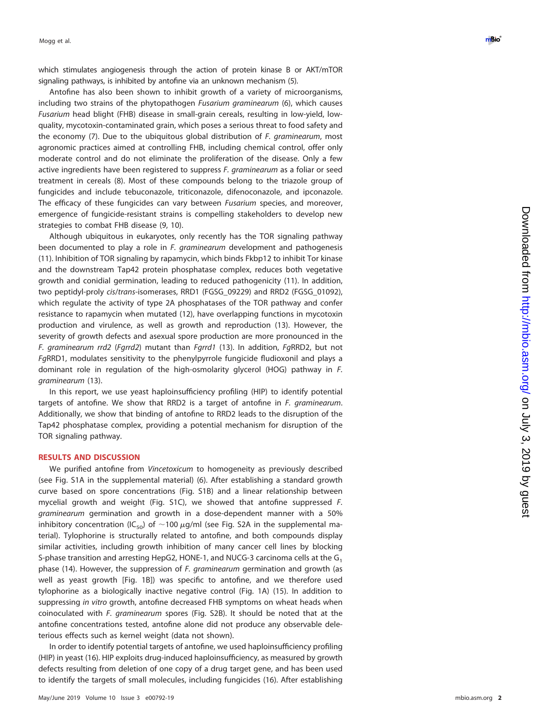which stimulates angiogenesis through the action of protein kinase B or AKT/mTOR signaling pathways, is inhibited by antofine via an unknown mechanism ( [5\)](#page-9-1).

Antofine has also been shown to inhibit growth of a variety of microorganisms, including two strains of the phytopathogen Fusarium graminearum ([6\)](#page-9-2), which causes Fusarium head blight (FHB) disease in small-grain cereals, resulting in low-yield, lowquality, mycotoxin-contaminated grain, which poses a serious threat to food safety and the economy ([7\)](#page-9-3). Due to the ubiquitous global distribution of F. graminearum, most agronomic practices aimed at controlling FHB, including chemical control, offer only moderate control and do not eliminate the proliferation of the disease. Only a few active ingredients have been registered to suppress F. graminearum as a foliar or seed treatment in cereals ( [8\)](#page-9-4). Most of these compounds belong to the triazole group of fungicides and include tebuconazole, triticonazole, difenoconazole, and ipconazole. The efficacy of these fungicides can vary between Fusarium species, and moreover, emergence of fungicide-resistant strains is compelling stakeholders to develop new strategies to combat FHB disease ( [9](#page-9-5) , [10\)](#page-9-6).

Although ubiquitous in eukaryotes, only recently has the TOR signaling pathway been documented to play a role in *F. graminearum* development and pathogenesis [\(11\)](#page-9-7). Inhibition of TOR signaling by rapamycin, which binds Fkbp12 to inhibit Tor kinase and the downstream Tap42 protein phosphatase complex, reduces both vegetative growth and conidial germination, leading to reduced pathogenicity [\(11\)](#page-9-7). In addition, two peptidyl-proly cis/trans-isomerases, RRD1 (FGSG\_09229) and RRD2 (FGSG\_01092), which regulate the activity of type 2A phosphatases of the TOR pathway and confer resistance to rapamycin when mutated [\(12\)](#page-9-8), have overlapping functions in mycotoxin production and virulence, as well as growth and reproduction [\(13\)](#page-9-9). However, the severity of growth defects and asexual spore production are more pronounced in the F. graminearum rrd2 (Fgrrd2) mutant than Fgrrd1 [\(13\)](#page-9-9). In addition, FgRRD2, but not FgRRD1, modulates sensitivity to the phenylpyrrole fungicide fludioxonil and plays a dominant role in regulation of the high-osmolarity glycerol (HOG) pathway in F. graminearum [\(13\)](#page-9-9).

In this report, we use yeast haploinsufficiency profiling (HIP) to identify potential targets of antofine. We show that RRD2 is a target of antofine in F. graminearum. Additionally, we show that binding of antofine to RRD2 leads to the disruption of the Tap42 phosphatase complex, providing a potential mechanism for disruption of the TOR signaling pathway.

# **RESULTS AND DISCUSSION**

We purified antofine from Vincetoxicum to homogeneity as previously described (see Fig. S1A in the supplemental material) ( [6\)](#page-9-2). After establishing a standard growth curve based on spore concentrations (Fig. S1B) and a linear relationship between mycelial growth and weight (Fig. S1C), we showed that antofine suppressed F. graminearum germination and growth in a dose-dependent manner with a 50% inhibitory concentration (IC<sub>50</sub>) of  $\sim$ 100  $\mu$ g/ml (see Fig. S2A in the supplemental material). Tylophorine is structurally related to antofine, and both compounds display similar activities, including growth inhibition of many cancer cell lines by blocking S-phase transition and arresting HepG2, HONE-1, and NUCG-3 carcinoma cells at the G<sub>1</sub> phase [\(14\)](#page-9-10). However, the suppression of F. graminearum germination and growth (as well as yeast growth [\[Fig. 1B\]](#page-2-0)) was specific to antofine, and we therefore used tylophorine as a biologically inactive negative control [\(Fig. 1A\)](#page-2-0) [\(15\)](#page-9-11). In addition to suppressing in vitro growth, antofine decreased FHB symptoms on wheat heads when coinoculated with F. graminearum spores (Fig. S2B). It should be noted that at the antofine concentrations tested, antofine alone did not produce any observable deleterious effects such as kernel weight (data not shown).

In order to identify potential targets of antofine, we used haploinsufficiency profiling (HIP) in yeast [\(16\)](#page-9-12). HIP exploits drug-induced haploinsufficiency, as measured by growth defects resulting from deletion of one copy of a drug target gene, and has been used to identify the targets of small molecules, including fungicides [\(16\)](#page-9-12). After establishing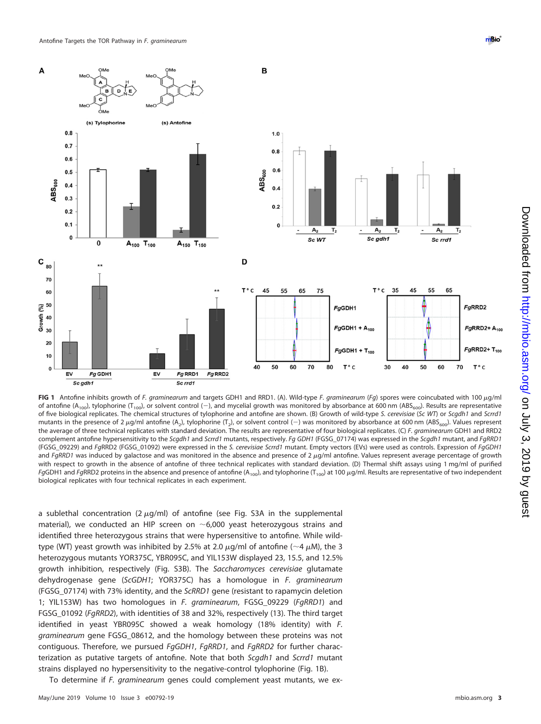

<span id="page-2-0"></span>FIG 1 Antofine inhibits growth of F. graminearum and targets GDH1 and RRD1. (A). Wild-type F. graminearum (Fg) spores were coincubated with 100 µg/ml of antofine (A<sub>100</sub>), tylophorine (T<sub>100</sub>), or solvent control (-), and mycelial growth was monitored by absorbance at 600 nm (ABS<sub>600</sub>). Results are representative of five biological replicates. The chemical structures of tylophorine and antofine are shown. (B) Growth of wild-type S. cerevisiae (Sc WT) or Scgdh1 and Scrrd1 mutants in the presence of 2  $\mu$ g/ml antofine (A<sub>2</sub>), tylophorine (T<sub>2</sub>), or solvent control (-) was monitored by absorbance at 600 nm (ABS<sub>600</sub>). Values represent the average of three technical replicates with standard deviation. The results are representative of four biological replicates. (C) F. graminearum GDH1 and RRD2 complement antofine hypersensitivity to the Scgdh1 and Scrrd1 mutants, respectively. Fg GDH1 (FGSG\_07174) was expressed in the Scgdh1 mutant, and FgRRD1 (FGSG\_09229) and FgRRD2 (FGSG\_01092) were expressed in the S. cerevisiae Scrrd1 mutant. Empty vectors (EVs) were used as controls. Expression of FgGDH1 and FgRRD1 was induced by galactose and was monitored in the absence and presence of  $2 \mu g/ml$  antofine. Values represent average percentage of growth with respect to growth in the absence of antofine of three technical replicates with standard deviation. (D) Thermal shift assays using 1 mg/ml of purified FgGDH1 and FgRRD2 proteins in the absence and presence of antofine (A<sub>100</sub>), and tylophorine (T<sub>100</sub>) at 100  $\mu$ g/ml. Results are representative of two independent biological replicates with four technical replicates in each experiment.

a sublethal concentration (2  $\mu$ g/ml) of antofine (see Fig. S3A in the supplemental material), we conducted an HIP screen on  $\sim$  6,000 yeast heterozygous strains and identified three heterozygous strains that were hypersensitive to antofine. While wildtype (WT) yeast growth was inhibited by 2.5% at 2.0  $\mu$ g/ml of antofine ( $\sim$ 4  $\mu$ M), the 3 heterozygous mutants YOR375C, YBR095C, and YIL153W displayed 23, 15.5, and 12.5% growth inhibition, respectively (Fig. S3B). The Saccharomyces cerevisiae glutamate dehydrogenase gene (ScGDH1; YOR375C) has a homologue in F. graminearum (FGSG\_07174) with 73% identity, and the ScRRD1 gene (resistant to rapamycin deletion 1; YIL153W) has two homologues in F. graminearum, FGSG\_09229 (FgRRD1) and FGSG\_01092 (FgRRD2), with identities of 38 and 32%, respectively [\(13\)](#page-9-9). The third target identified in yeast YBR095C showed a weak homology (18% identity) with F. graminearum gene FGSG\_08612, and the homology between these proteins was not contiguous. Therefore, we pursued FgGDH1, FgRRD1, and FgRRD2 for further characterization as putative targets of antofine. Note that both Scgdh1 and Scrrd1 mutant strains displayed no hypersensitivity to the negative-control tylophorine [\(Fig. 1B\)](#page-2-0).

To determine if F. graminearum genes could complement yeast mutants, we ex-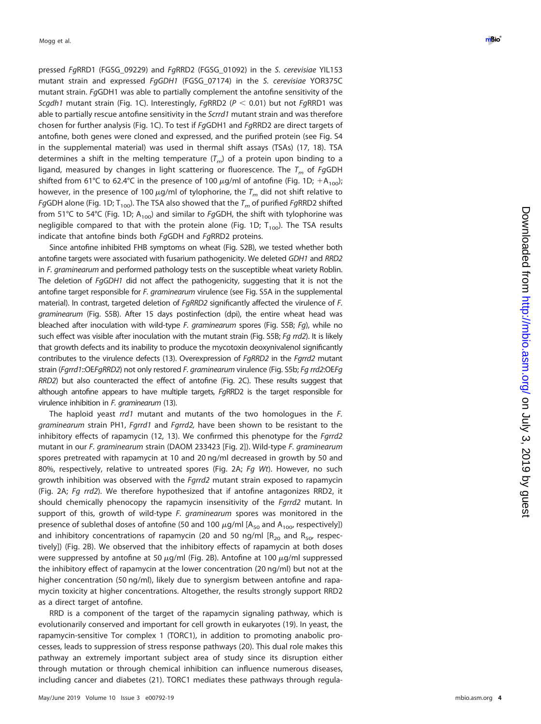pressed FgRRD1 (FGSG\_09229) and FgRRD2 (FGSG\_01092) in the S. cerevisiae YIL153 mutant strain and expressed FgGDH1 (FGSG\_07174) in the S. cerevisiae YOR375C mutant strain. FgGDH1 was able to partially complement the antofine sensitivity of the Scgdh1 mutant strain [\(Fig. 1C\)](#page-2-0). Interestingly, FgRRD2 (P  $<$  0.01) but not FgRRD1 was able to partially rescue antofine sensitivity in the Scrrd1 mutant strain and was therefore chosen for further analysis [\(Fig. 1C\)](#page-2-0). To test if FgGDH1 and FgRRD2 are direct targets of antofine, both genes were cloned and expressed, and the purified protein (see Fig. S4 in the supplemental material) was used in thermal shift assays (TSAs) [\(17](#page-9-13) , [18\)](#page-9-14). TSA determines a shift in the melting temperature  $(\mathcal{T}_m)$  of a protein upon binding to a ligand, measured by changes in light scattering or fluorescence. The  $\mathcal{T}_m$  of  $F$ gGDH shifted from 61°C to 62.4°C in the presence of 100  $\mu$ g/ml of antofine [\(Fig. 1D](#page-2-0); +A<sub>100</sub>); however, in the presence of 100  $\mu$ g/ml of tylophorine, the  $\mathcal{T}_m$  did not shift relative to *Fg*GDH alone [\(Fig. 1D;](#page-2-0) T<sub>100</sub>). The TSA also showed that the  $T_m$  of purified *Fg*RRD2 shifted from 51°C to 54°C [\(Fig. 1D;](#page-2-0) A<sub>100</sub>) and similar to FgGDH, the shift with tylophorine was negligible compared to that with the protein alone [\(Fig. 1D;](#page-2-0)  $T_{100}$ ). The TSA results indicate that antofine binds both FgGDH and FgRRD2 proteins.

Since antofine inhibited FHB symptoms on wheat (Fig. S2B), we tested whether both antofine targets were associated with fusarium pathogenicity. We deleted GDH1 and RRD2 in F. graminearum and performed pathology tests on the susceptible wheat variety Roblin. The deletion of FgGDH1 did not affect the pathogenicity, suggesting that it is not the antofine target responsible for F. graminearum virulence (see Fig. S5A in the supplemental material). In contrast, targeted deletion of FgRRD2 significantly affected the virulence of F. graminearum (Fig. S5B). After 15 days postinfection (dpi), the entire wheat head was bleached after inoculation with wild-type F. graminearum spores (Fig. S5B; Fg), while no such effect was visible after inoculation with the mutant strain (Fig. S5B; Fq rrd2). It is likely that growth defects and its inability to produce the mycotoxin deoxynivalenol significantly contributes to the virulence defects [\(13\)](#page-9-9). Overexpression of FgRRD2 in the Fgrrd2 mutant strain (Fgrrd1::OEFgRRD2) not only restored F. graminearum virulence (Fig. S5b; Fg rrd2:OEFg RRD2) but also counteracted the effect of antofine [\(Fig. 2C\)](#page-4-0). These results suggest that although antofine appears to have multiple targets, FgRRD2 is the target responsible for virulence inhibition in F. graminearum [\(13\)](#page-9-9).

The haploid yeast rrd1 mutant and mutants of the two homologues in the F. graminearum strain PH1, Fgrrd1 and Fgrrd2, have been shown to be resistant to the inhibitory effects of rapamycin [\(12](#page-9-8), [13\)](#page-9-9). We confirmed this phenotype for the Fgrrd2 mutant in our F. graminearum strain (DAOM 233423 [\[Fig. 2\]](#page-4-0)). Wild-type F. graminearum spores pretreated with rapamycin at 10 and 20 ng/ml decreased in growth by 50 and 80%, respectively, relative to untreated spores [\(Fig. 2A](#page-4-0); Fg Wt). However, no such growth inhibition was observed with the *Fgrrd2* mutant strain exposed to rapamycin [\(Fig. 2A;](#page-4-0) Fg rrd2). We therefore hypothesized that if antofine antagonizes RRD2, it should chemically phenocopy the rapamycin insensitivity of the Fgrrd2 mutant. In support of this, growth of wild-type F. graminearum spores was monitored in the presence of sublethal doses of antofine (50 and 100  $\mu$ g/ml [A<sub>50</sub> and A<sub>100</sub>, respectively]) and inhibitory concentrations of rapamycin (20 and 50 ng/ml  $[R_{20}$  and  $R_{50}$ , respectively]) [\(Fig. 2B\)](#page-4-0). We observed that the inhibitory effects of rapamycin at both doses were suppressed by antofine at 50  $\mu$ g/ml [\(Fig. 2B\)](#page-4-0). Antofine at 100  $\mu$ g/ml suppressed the inhibitory effect of rapamycin at the lower concentration (20 ng/ml) but not at the higher concentration (50 ng/ml), likely due to synergism between antofine and rapamycin toxicity at higher concentrations. Altogether, the results strongly support RRD2 as a direct target of antofine.

RRD is a component of the target of the rapamycin signaling pathway, which is evolutionarily conserved and important for cell growth in eukaryotes [\(19\)](#page-9-15). In yeast, the rapamycin-sensitive Tor complex 1 (TORC1), in addition to promoting anabolic processes, leads to suppression of stress response pathways [\(20\)](#page-9-16). This dual role makes this pathway an extremely important subject area of study since its disruption either through mutation or through chemical inhibition can influence numerous diseases, including cancer and diabetes [\(21\)](#page-9-17). TORC1 mediates these pathways through regula-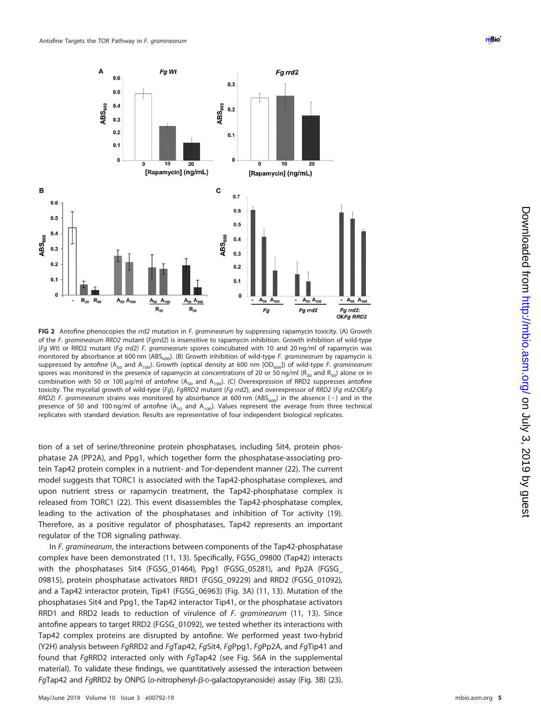

<span id="page-4-0"></span>**FIG 2** Antofine phenocopies the rrd2 mutation in F. graminearum by suppressing rapamycin toxicity. (A) Growth of the F. graminearum RRD2 mutant (Fgrrd2) is insensitive to rapamycin inhibition. Growth inhibition of wild-type (Fg Wt) or RRD2 mutant (Fg rrd2) F. graminearum spores coincubated with 10 and 20 ng/ml of rapamycin was monitored by absorbance at 600 nm ( $\text{ABS}_{600}$ ). (B) Growth inhibition of wild-type F. graminearum by rapamycin is suppressed by antofine (A<sub>50</sub> and A<sub>100</sub>). Growth (optical density at 600 nm [OD<sub>600</sub>]) of wild-type F. graminearum spores was monitored in the presence of rapamycin at concentrations of 20 or 50 ng/ml ( $R_{20}$  and  $R_{50}$ ) alone or in combination with 50 or 100  $\mu$ g/ml of antofine (A<sub>50</sub> and A<sub>100</sub>). (C) Overexpression of RRD2 suppresses antofine toxicity. The mycelial growth of wild-type (Fg), FgRRD2 mutant (Fg rrd2), and overexpressor of RRD2 (Fg rrd2:OEFg RRD2) F. graminearum strains was monitored by absorbance at 600 nm (ABS<sub>600</sub>) in the absence (-) and in the presence of 50 and 100 ng/ml of antofine  $(A_{50}$  and  $A_{100}$ ). Values represent the average from three technical replicates with standard deviation. Results are representative of four independent biological replicates.

tion of a set of serine/threonine protein phosphatases, including Sit4, protein phosphatase 2A (PP2A), and Ppg1, which together form the phosphatase-associating protein Tap42 protein complex in a nutrient- and Tor-dependent manner [\(22\)](#page-9-18). The current model suggests that TORC1 is associated with the Tap42-phosphatase complexes, and upon nutrient stress or rapamycin treatment, the Tap42-phosphatase complex is released from TORC1 [\(22\)](#page-9-18). This event disassembles the Tap42-phosphatase complex, leading to the activation of the phosphatases and inhibition of Tor activity [\(19\)](#page-9-15). Therefore, as a positive regulator of phosphatases, Tap42 represents an important regulator of the TOR signaling pathway.

In F. graminearum, the interactions between components of the Tap42-phosphatase complex have been demonstrated [\(11,](#page-9-7) [13\)](#page-9-9). Specifically, FGSG\_09800 (Tap42) interacts with the phosphatases Sit4 (FGSG\_01464), Ppg1 (FGSG\_05281), and Pp2A (FGSG\_ 09815), protein phosphatase activators RRD1 (FGSG\_09229) and RRD2 (FGSG\_01092), and a Tap42 interactor protein, Tip41 (FGSG\_06963) [\(Fig. 3A\)](#page-5-0) [\(11,](#page-9-7) [13\)](#page-9-9). Mutation of the phosphatases Sit4 and Ppg1, the Tap42 interactor Tip41, or the phosphatase activators RRD1 and RRD2 leads to reduction of virulence of F. graminearum [\(11,](#page-9-7) [13\)](#page-9-9). Since antofine appears to target RRD2 (FGSG\_01092), we tested whether its interactions with Tap42 complex proteins are disrupted by antofine. We performed yeast two-hybrid (Y2H) analysis between FgRRD2 and FgTap42, FgSit4, FgPpg1, FgPp2A, and FgTip41 and found that FgRRD2 interacted only with FgTap42 (see Fig. S6A in the supplemental material). To validate these findings, we quantitatively assessed the interaction between  $FqTap42$  and  $FqRRD2$  by ONPG (o-nitrophenyl- $\beta$ -D-galactopyranoside) assay [\(Fig. 3B\)](#page-5-0) [\(23\)](#page-9-19).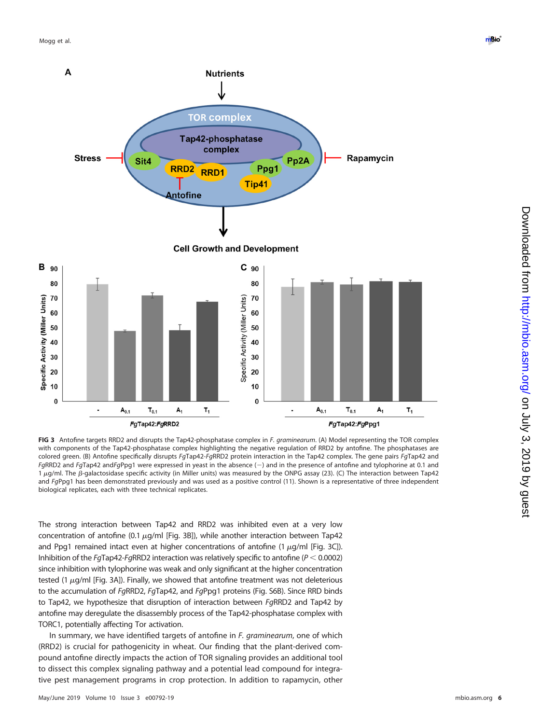

<span id="page-5-0"></span>**FIG 3** Antofine targets RRD2 and disrupts the Tap42-phosphatase complex in F. graminearum. (A) Model representing the TOR complex with components of the Tap42-phosphatase complex highlighting the negative regulation of RRD2 by antofine. The phosphatases are colored green. (B) Antofine specifically disrupts FgTap42-FgRRD2 protein interaction in the Tap42 complex. The gene pairs FaTap42 and  $FqRD2$  and  $FqTap42$  and $FqPpq1$  were expressed in yeast in the absence  $(-)$  and in the presence of antofine and tylophorine at 0.1 and  $1 \mu$ g/ml. The  $\beta$ -galactosidase specific activity (in Miller units) was measured by the ONPG assay [\(23\)](#page-9-19). (C) The interaction between Tap42 and FgPpg1 has been demonstrated previously and was used as a positive control [\(11\)](#page-9-7). Shown is a representative of three independent biological replicates, each with three technical replicates.

The strong interaction between Tap42 and RRD2 was inhibited even at a very low concentration of antofine (0.1  $\mu$ g/ml [\[Fig. 3B\]](#page-5-0)), while another interaction between Tap42 and Ppg1 remained intact even at higher concentrations of antofine (1  $\mu$ g/ml [\[Fig. 3C\]](#page-5-0)). Inhibition of the FgTap42-FgRRD2 interaction was relatively specific to antofine ( $P < 0.0002$ ) since inhibition with tylophorine was weak and only significant at the higher concentration tested (1  $\mu$ g/ml [\[Fig. 3A\]](#page-5-0)). Finally, we showed that antofine treatment was not deleterious to the accumulation of FgRRD2, FgTap42, and FgPpg1 proteins (Fig. S6B). Since RRD binds to Tap42, we hypothesize that disruption of interaction between FgRRD2 and Tap42 by antofine may deregulate the disassembly process of the Tap42-phosphatase complex with TORC1, potentially affecting Tor activation.

In summary, we have identified targets of antofine in F. graminearum, one of which (RRD2) is crucial for pathogenicity in wheat. Our finding that the plant-derived compound antofine directly impacts the action of TOR signaling provides an additional tool to dissect this complex signaling pathway and a potential lead compound for integrative pest management programs in crop protection. In addition to rapamycin, other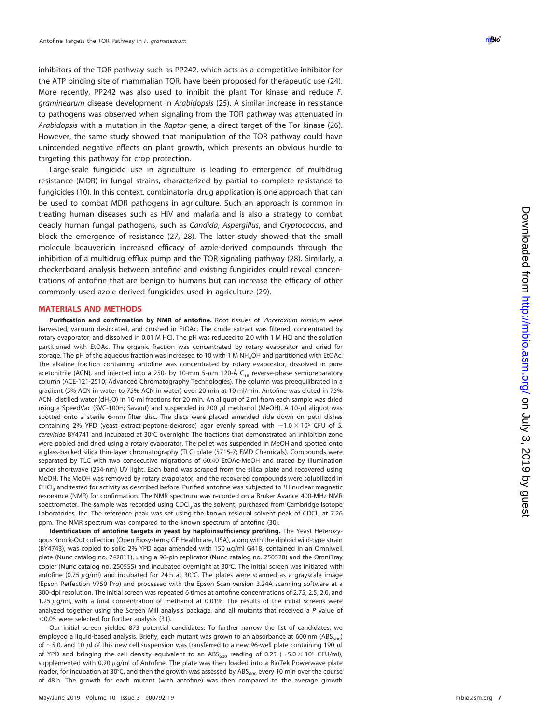inhibitors of the TOR pathway such as PP242, which acts as a competitive inhibitor for the ATP binding site of mammalian TOR, have been proposed for therapeutic use [\(24\)](#page-9-20). More recently, PP242 was also used to inhibit the plant Tor kinase and reduce F. graminearum disease development in Arabidopsis [\(25\)](#page-9-21). A similar increase in resistance to pathogens was observed when signaling from the TOR pathway was attenuated in Arabidopsis with a mutation in the Raptor gene, a direct target of the Tor kinase [\(26\)](#page-9-22). However, the same study showed that manipulation of the TOR pathway could have unintended negative effects on plant growth, which presents an obvious hurdle to targeting this pathway for crop protection.

Large-scale fungicide use in agriculture is leading to emergence of multidrug resistance (MDR) in fungal strains, characterized by partial to complete resistance to fungicides [\(10\)](#page-9-6). In this context, combinatorial drug application is one approach that can be used to combat MDR pathogens in agriculture. Such an approach is common in treating human diseases such as HIV and malaria and is also a strategy to combat deadly human fungal pathogens, such as Candida, Aspergillus, and Cryptococcus, and block the emergence of resistance [\(27](#page-9-23) , [28\)](#page-9-24). The latter study showed that the small molecule beauvericin increased efficacy of azole-derived compounds through the inhibition of a multidrug efflux pump and the TOR signaling pathway [\(28\)](#page-9-24). Similarly, a checkerboard analysis between antofine and existing fungicides could reveal concentrations of antofine that are benign to humans but can increase the efficacy of other commonly used azole-derived fungicides used in agriculture [\(29\)](#page-9-25).

#### **MATERIALS AND METHODS**

Purification and confirmation by NMR of antofine. Root tissues of Vincetoxium rossicum were harvested, vacuum desiccated, and crushed in EtOAc. The crude extract was filtered, concentrated by rotary evaporator, and dissolved in 0.01 M HCl. The pH was reduced to 2.0 with 1 M HCl and the solution partitioned with EtOAc. The organic fraction was concentrated by rotary evaporator and dried for storage. The pH of the aqueous fraction was increased to 10 with 1 M NH 4OH and partitioned with EtOAc. The alkaline fraction containing antofine was concentrated by rotary evaporator, dissolved in pure acetonitrile (ACN), and injected into a 250- by 10-mm 5- $\mu$ m 120-Å C $_{18}$  reverse-phase semipreparatory column (ACE-121-2510; Advanced Chromatography Technologies). The column was preequilibrated in a gradient (5% ACN in water to 75% ACN in water) over 20 min at 10 ml/min. Antofine was eluted in 75% ACN– distilled water (dH 2O) in 10-ml fractions for 20 min. An aliquot of 2 ml from each sample was dried using a SpeedVac (SVC-100H; Savant) and suspended in 200 µl methanol (MeOH). A 10-µl aliquot was spotted onto a sterile 6-mm filter disc. The discs were placed amended side down on petri dishes containing 2% YPD (yeast extract-peptone-dextrose) agar evenly spread with  $\sim$  1.0  $\times$  10<sup>6</sup> CFU of S. cerevisiae BY4741 and incubated at 30°C overnight. The fractions that demonstrated an inhibition zone were pooled and dried using a rotary evaporator. The pellet was suspended in MeOH and spotted onto a glass-backed silica thin-layer chromatography (TLC) plate (5715-7; EMD Chemicals). Compounds were separated by TLC with two consecutive migrations of 60:40 EtOAc-MeOH and traced by illumination under shortwave (254-nm) UV light. Each band was scraped from the silica plate and recovered using MeOH. The MeOH was removed by rotary evaporator, and the recovered compounds were solubilized in CHCl<sub>3</sub> and tested for activity as described before. Purified antofine was subjected to <sup>1</sup>H nuclear magnetic resonance (NMR) for confirmation. The NMR spectrum was recorded on a Bruker Avance 400-MHz NMR spectrometer. The sample was recorded using CDCI<sub>3</sub> as the solvent, purchased from Cambridge Isotope Laboratories, Inc. The reference peak was set using the known residual solvent peak of CDCl <sup>3</sup> at 7.26 ppm. The NMR spectrum was compared to the known spectrum of antofine [\(30\)](#page-9-26).

**Identification of antofine targets in yeast by haploinsufficiency profiling.** The Yeast Heterozygous Knock-Out collection (Open Biosystems; GE Healthcare, USA), along with the diploid wild-type strain (BY4743), was copied to solid 2% YPD agar amended with 150  $\mu$ g/ml G418, contained in an Omniwell plate (Nunc catalog no. 242811), using a 96-pin replicator (Nunc catalog no. 250520) and the OmniTray copier (Nunc catalog no. 250555) and incubated overnight at 30°C. The initial screen was initiated with antofine (0.75 µg/ml) and incubated for 24 h at 30°C. The plates were scanned as a grayscale image (Epson Perfection V750 Pro) and processed with the Epson Scan version 3.24A scanning software at a 300-dpi resolution. The initial screen was repeated 6 times at antofine concentrations of 2.75, 2.5, 2.0, and 1.25  $\mu$ g/ml, with a final concentration of methanol at 0.01%. The results of the initial screens were analyzed together using the Screen Mill analysis package, and all mutants that received a P value of  $<$  0.05 were selected for further analysis [\(31\)](#page-9-27).

Our initial screen yielded 873 potential candidates. To further narrow the list of candidates, we employed a liquid-based analysis. Briefly, each mutant was grown to an absorbance at 600 nm (ABS $_{600}$ ) of  $\sim$  5.0, and 10  $\mu$  of this new cell suspension was transferred to a new 96-well plate containing 190  $\mu$  l of YPD and bringing the cell density equivalent to an ABS<sub>600</sub> reading of 0.25 (~5.0  $\times$  10<sup>6</sup> CFU/ml), supplemented with 0.20 µg/ml of Antofine. The plate was then loaded into a BioTek Powerwave plate reader, for incubation at 30°C, and then the growth was assessed by  $ABS_{600}$  every 10 min over the course of 48 h. The growth for each mutant (with antofine) was then compared to the average growth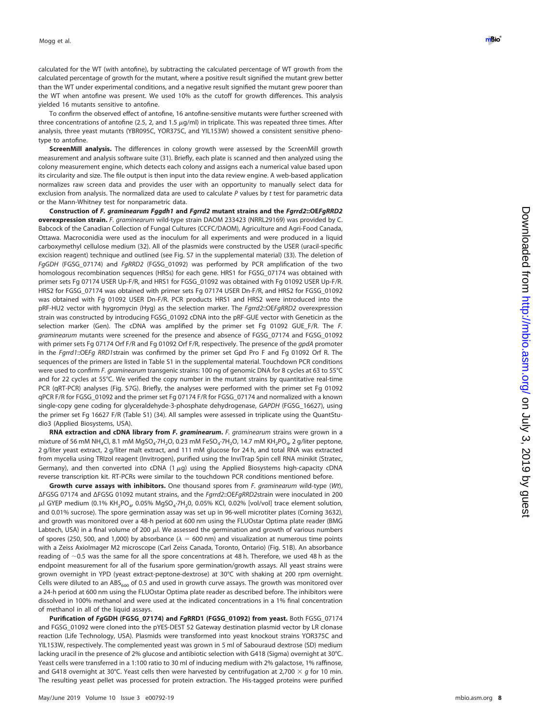calculated for the WT (with antofine), by subtracting the calculated percentage of WT growth from the calculated percentage of growth for the mutant, where a positive result signified the mutant grew better than the WT under experimental conditions, and a negative result signified the mutant grew poorer than the WT when antofine was present. We used 10% as the cutoff for growth differences. This analysis yielded 16 mutants sensitive to antofine.

To confirm the observed effect of antofine, 16 antofine-sensitive mutants were further screened with three concentrations of antofine (2.5, 2, and 1.5  $\mu$ g/ml) in triplicate. This was repeated three times. After analysis, three yeast mutants (YBR095C, YOR375C, and YIL153W) showed a consistent sensitive phenotype to antofine.

**ScreenMill analysis.** The differences in colony growth were assessed by the ScreenMill growth measurement and analysis software suite [\(31\)](#page-9-27). Briefly, each plate is scanned and then analyzed using the colony measurement engine, which detects each colony and assigns each a numerical value based upon its circularity and size. The file output is then input into the data review engine. A web-based application normalizes raw screen data and provides the user with an opportunity to manually select data for exclusion from analysis. The normalized data are used to calculate P values by t test for parametric data or the Mann-Whitney test for nonparametric data.

**Construction of** *F. graminearum Fggdh1* **and** *Fgrrd2* **mutant strains and the** *Fgrrd2***::OE***FgRRD2* **overexpression strain.** F. graminearum wild-type strain DAOM 233423 (NRRL29169) was provided by C. Babcock of the Canadian Collection of Fungal Cultures (CCFC/DAOM), Agriculture and Agri-Food Canada, Ottawa. Macroconidia were used as the inoculum for all experiments and were produced in a liquid carboxymethyl cellulose medium [\(32\)](#page-9-28). All of the plasmids were constructed by the USER (uracil-specific excision reagent) technique and outlined (see Fig. S7 in the supplemental material) [\(33\)](#page-9-29). The deletion of FgGDH (FGSG\_07174) and FgRRD2 (FGSG\_01092) was performed by PCR amplification of the two homologous recombination sequences (HRSs) for each gene. HRS1 for FGSG\_07174 was obtained with primer sets Fg 07174 USER Up-F/R, and HRS1 for FGSG\_01092 was obtained with Fg 01092 USER Up-F/R. HRS2 for FGSG\_07174 was obtained with primer sets Fg 07174 USER Dn-F/R, and HRS2 for FGSG\_01092 was obtained with Fg 01092 USER Dn-F/R. PCR products HRS1 and HRS2 were introduced into the pRF-HU2 vector with hygromycin (Hyg) as the selection marker. The Fgrrd2::OEFgRRD2 overexpression strain was constructed by introducing FGSG\_01092 cDNA into the pRF-GUE vector with Geneticin as the selection marker (Gen). The cDNA was amplified by the primer set Fg 01092 GUE F/R. The F. graminearum mutants were screened for the presence and absence of FGSG\_07174 and FGSG\_01092 with primer sets Fg 07174 Orf F/R and Fg 01092 Orf F/R, respectively. The presence of the gpdA promoter in the Fqrrd1::OEFq RRD1strain was confirmed by the primer set Gpd Pro F and Fq 01092 Orf R. The sequences of the primers are listed in Table S1 in the supplemental material. Touchdown PCR conditions were used to confirm F. graminearum transgenic strains: 100 ng of genomic DNA for 8 cycles at 63 to 55°C and for 22 cycles at 55°C. We verified the copy number in the mutant strains by quantitative real-time PCR (qRT-PCR) analyses (Fig. S7G). Briefly, the analyses were performed with the primer set Fg 01092 qPCR F/R for FGSG\_01092 and the primer set Fg 07174 F/R for FGSG\_07174 and normalized with a known single-copy gene coding for glyceraldehyde-3-phosphate dehydrogenase, GAPDH (FGSG\_16627), using the primer set Fg 16627 F/R (Table S1) [\(34\)](#page-9-30). All samples were assessed in triplicate using the QuantStudio3 (Applied Biosystems, USA).

**RNA extraction and cDNA library from F. graminearum.** F. graminearum strains were grown in a mixture of 56 mM NH<sub>4</sub>Cl, 8.1 mM MgSO<sub>4</sub>·7H<sub>2</sub>O, 0.23 mM FeSO<sub>4</sub>·7H<sub>2</sub>O, 14.7 mM KH<sub>2</sub>PO<sub>4</sub>, 2 g/liter peptone, 2 g/liter yeast extract, 2 g/liter malt extract, and 111 mM glucose for 24 h, and total RNA was extracted from mycelia using TRIzol reagent (Invitrogen), purified using the InviTrap Spin cell RNA minikit (Stratec, Germany), and then converted into cDNA (1  $\mu$ g) using the Applied Biosystems high-capacity cDNA reverse transcription kit. RT-PCRs were similar to the touchdown PCR conditions mentioned before.

**Growth curve assays with inhibitors.** One thousand spores from F. graminearum wild-type (Wt), ΔFGSG 07174 and ΔFGSG 01092 mutant strains, and the Fgrrd2::OEFgRRD2strain were inoculated in 200  $\mu$ l GYEP medium (0.1% KH<sub>2</sub>PO<sub>4</sub>, 0.05% MgSO<sub>4</sub>·7H<sub>2</sub>0, 0.05% KCl, 0.02% [vol/vol] trace element solution, and 0.01% sucrose). The spore germination assay was set up in 96-well microtiter plates (Corning 3632), and growth was monitored over a 48-h period at 600 nm using the FLUOstar Optima plate reader (BMG Labtech, USA) in a final volume of 200  $\mu$ l. We assessed the germination and growth of various numbers of spores (250, 500, and 1,000) by absorbance ( $\lambda = 600$  nm) and visualization at numerous time points with a Zeiss AxioImager M2 microscope (Carl Zeiss Canada, Toronto, Ontario) (Fig. S1B). An absorbance reading of  $\sim$ 0.5 was the same for all the spore concentrations at 48 h. Therefore, we used 48 h as the endpoint measurement for all of the fusarium spore germination/growth assays. All yeast strains were grown overnight in YPD (yeast extract-peptone-dextrose) at 30°C with shaking at 200 rpm overnight. Cells were diluted to an  $ABS<sub>600</sub>$  of 0.5 and used in growth curve assays. The growth was monitored over a 24-h period at 600 nm using the FLUOstar Optima plate reader as described before. The inhibitors were dissolved in 100% methanol and were used at the indicated concentrations in a 1% final concentration of methanol in all of the liquid assays.

**Purification of** *Fg***GDH (FGSG\_07174) and** *Fg***RRD1 (FGSG\_01092) from yeast.** Both FGSG\_07174 and FGSG\_01092 were cloned into the pYES-DEST 52 Gateway destination plasmid vector by LR clonase reaction (Life Technology, USA). Plasmids were transformed into yeast knockout strains YOR375C and YIL153W, respectively. The complemented yeast was grown in 5 ml of Sabouraud dextrose (SD) medium lacking uracil in the presence of 2% glucose and antibiotic selection with G418 (Sigma) overnight at 30°C. Yeast cells were transferred in a 1:100 ratio to 30 ml of inducing medium with 2% galactose, 1% raffinose, and G418 overnight at 30°C. Yeast cells then were harvested by centrifugation at 2,700  $\times$  g for 10 min. The resulting yeast pellet was processed for protein extraction. The His-tagged proteins were purified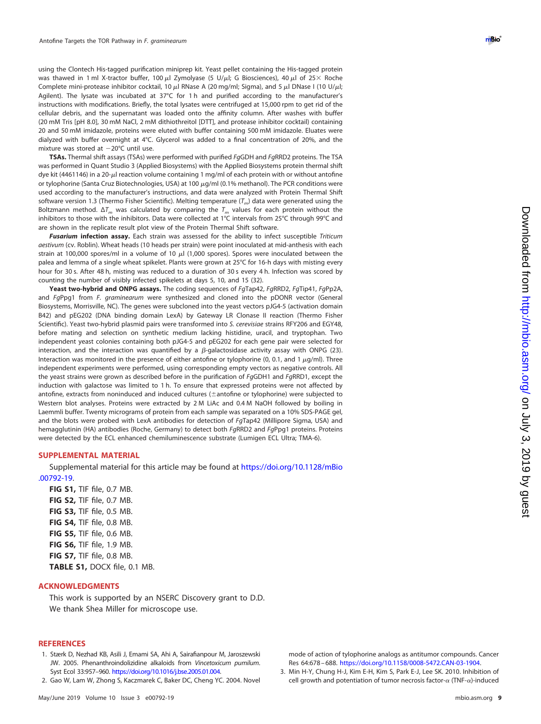using the Clontech His-tagged purification miniprep kit. Yeast pellet containing the His-tagged protein was thawed in 1 ml X-tractor buffer, 100  $\mu$ l Zymolyase (5 U/ $\mu$ l; G Biosciences), 40  $\mu$ l of 25 × Roche Complete mini-protease inhibitor cocktail, 10  $\mu$ l RNase A (20 mg/ml; Sigma), and 5  $\mu$ l DNase I (10 U/ $\mu$ l; Agilent). The lysate was incubated at 37°C for 1 h and purified according to the manufacturer's instructions with modifications. Briefly, the total lysates were centrifuged at 15,000 rpm to get rid of the cellular debris, and the supernatant was loaded onto the affinity column. After washes with buffer (20 mM Tris [pH 8.0], 30 mM NaCl, 2 mM dithiothreitol [DTT], and protease inhibitor cocktail) containing 20 and 50 mM imidazole, proteins were eluted with buffer containing 500 mM imidazole. Eluates were dialyzed with buffer overnight at 4°C. Glycerol was added to a final concentration of 20%, and the mixture was stored at  $-20^{\circ}$ C until use.

**TSAs.** Thermal shift assays (TSAs) were performed with purified FgGDH and FgRRD2 proteins. The TSA was performed in Quant Studio 3 (Applied Biosystems) with the Applied Biosystems protein thermal shift dye kit (4461146) in a 20- $\mu$ l reaction volume containing 1 mg/ml of each protein with or without antofine or tylophorine (Santa Cruz Biotechnologies, USA) at 100  $\mu$ g/ml (0.1% methanol). The PCR conditions were used according to the manufacturer's instructions, and data were analyzed with Protein Thermal Shift software version 1.3 (Thermo Fisher Scientific). Melting temperature  $(T_m)$  data were generated using the Boltzmann method.  $\Delta T_m$  was calculated by comparing the  $T_m$  values for each protein without the inhibitors to those with the inhibitors. Data were collected at 1°C intervals from 25°C through 99°C and are shown in the replicate result plot view of the Protein Thermal Shift software.

*Fusarium* **infection assay.** Each strain was assessed for the ability to infect susceptible Triticum aestivum (cv. Roblin). Wheat heads (10 heads per strain) were point inoculated at mid-anthesis with each strain at 100,000 spores/ml in a volume of 10  $\mu$ l (1,000 spores). Spores were inoculated between the palea and lemma of a single wheat spikelet. Plants were grown at 25°C for 16-h days with misting every hour for 30 s. After 48 h, misting was reduced to a duration of 30 s every 4 h. Infection was scored by counting the number of visibly infected spikelets at days 5, 10, and 15 [\(32\)](#page-9-28).

**Yeast two-hybrid and ONPG assays.** The coding sequences of FgTap42, FgRRD2, FgTip41, FgPp2A, and FgPpg1 from F. graminearum were synthesized and cloned into the pDONR vector (General Biosystems, Morrisville, NC). The genes were subcloned into the yeast vectors pJG4-5 (activation domain B42) and pEG202 (DNA binding domain LexA) by Gateway LR Clonase II reaction (Thermo Fisher Scientific). Yeast two-hybrid plasmid pairs were transformed into S. cerevisiae strains RFY206 and EGY48, before mating and selection on synthetic medium lacking histidine, uracil, and tryptophan. Two independent yeast colonies containing both pJG4-5 and pEG202 for each gene pair were selected for interaction, and the interaction was quantified by a  $\beta$ -galactosidase activity assay with ONPG [\(23\)](#page-9-19). Interaction was monitored in the presence of either antofine or tylophorine (0, 0.1, and 1  $\mu$ q/ml). Three independent experiments were performed, using corresponding empty vectors as negative controls. All the yeast strains were grown as described before in the purification of FgGDH1 and FgRRD1, except the induction with galactose was limited to 1 h. To ensure that expressed proteins were not affected by antofine, extracts from noninduced and induced cultures ( $\pm$ antofine or tylophorine) were subjected to Western blot analyses. Proteins were extracted by 2 M LiAc and 0.4 M NaOH followed by boiling in Laemmli buffer. Twenty micrograms of protein from each sample was separated on a 10% SDS-PAGE gel, and the blots were probed with LexA antibodies for detection of FaTap42 (Millipore Sigma, USA) and hemagglutinin (HA) antibodies (Roche, Germany) to detect both FgRRD2 and FgPpg1 proteins. Proteins were detected by the ECL enhanced chemiluminescence substrate (Lumigen ECL Ultra; TMA-6).

### **SUPPLEMENTAL MATERIAL**

Supplemental material for this article may be found at [https://doi.org/10.1128/mBio](https://doi.org/10.1128/mBio.00792-19) [.00792-19.](https://doi.org/10.1128/mBio.00792-19)

**FIG S1,** TIF file, 0.7 MB. **FIG S2,** TIF file, 0.7 MB. **FIG S3,** TIF file, 0.5 MB. **FIG S4,** TIF file, 0.8 MB. **FIG S5,** TIF file, 0.6 MB. **FIG S6,** TIF file, 1.9 MB. **FIG S7,** TIF file, 0.8 MB. **TABLE S1,** DOCX file, 0.1 MB.

#### **ACKNOWLEDGMENTS**

This work is supported by an NSERC Discovery grant to D.D. We thank Shea Miller for microscope use.

## <span id="page-8-0"></span>**REFERENCES**

- <span id="page-8-1"></span>1. Stærk D, Nezhad KB, Asili J, Emami SA, Ahi A, Sairafianpour M, Jaroszewski JW. 2005. Phenanthroindolizidine alkaloids from Vincetoxicum pumilum. Syst Ecol 33:957–960. [https://doi.org/10.1016/j.bse.2005.01.004.](https://doi.org/10.1016/j.bse.2005.01.004)
- 2. Gao W, Lam W, Zhong S, Kaczmarek C, Baker DC, Cheng YC. 2004. Novel

mode of action of tylophorine analogs as antitumor compounds. Cancer Res 64:678 – 688. [https://doi.org/10.1158/0008-5472.CAN-03-1904.](https://doi.org/10.1158/0008-5472.CAN-03-1904)

<span id="page-8-2"></span><sup>3.</sup> Min H-Y, Chung H-J, Kim E-H, Kim S, Park E-J, Lee SK. 2010. Inhibition of cell growth and potentiation of tumor necrosis factor- $\alpha$  (TNF- $\alpha$ )-induced